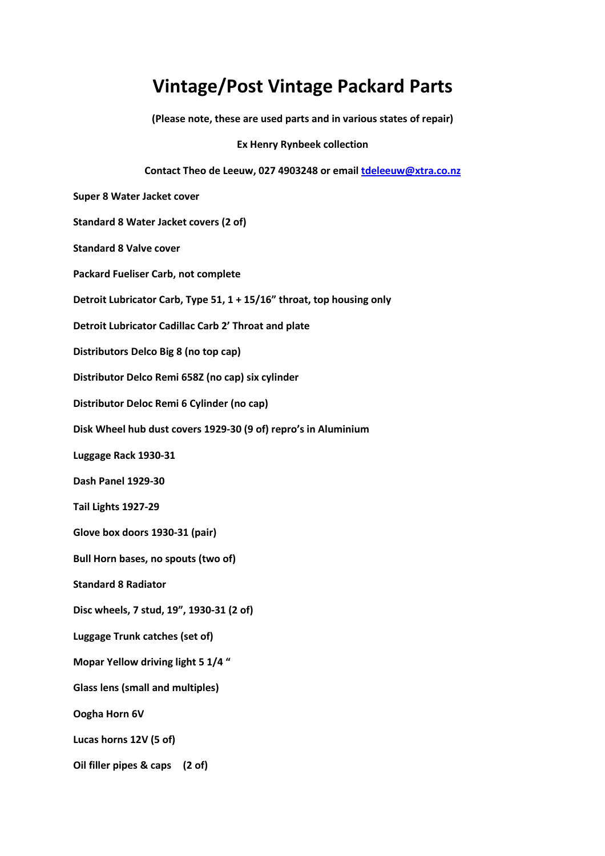## **Vintage/Post Vintage Packard Parts**

**(Please note, these are used parts and in various states of repair)** 

**Ex Henry Rynbeek collection** 

## **Contact Theo de Leeuw, 027 4903248 or email tdeleeuw@xtra.co.nz**

**Super 8 Water Jacket cover** 

**Standard 8 Water Jacket covers (2 of)** 

**Standard 8 Valve cover** 

**Packard Fueliser Carb, not complete** 

**Detroit Lubricator Carb, Type 51, 1 + 15/16" throat, top housing only** 

**Detroit Lubricator Cadillac Carb 2' Throat and plate** 

**Distributors Delco Big 8 (no top cap)** 

**Distributor Delco Remi 658Z (no cap) six cylinder** 

**Distributor Deloc Remi 6 Cylinder (no cap)** 

**Disk Wheel hub dust covers 1929-30 (9 of) repro's in Aluminium** 

**Luggage Rack 1930-31** 

**Dash Panel 1929-30** 

**Tail Lights 1927-29** 

**Glove box doors 1930-31 (pair)** 

**Bull Horn bases, no spouts (two of)** 

**Standard 8 Radiator** 

**Disc wheels, 7 stud, 19", 1930-31 (2 of)** 

**Luggage Trunk catches (set of)** 

**Mopar Yellow driving light 5 1/4 "** 

**Glass lens (small and multiples)** 

**Oogha Horn 6V** 

**Lucas horns 12V (5 of)** 

**Oil filler pipes & caps (2 of)**